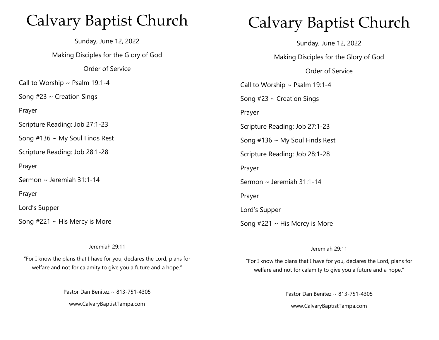## Calvary Baptist Church

Sunday, June 12, 2022 Making Disciples for the Glory of God Order of Service Call to Worship  $\sim$  Psalm 19:1-4 Song  $#23 \sim$  Creation Sings Prayer Scripture Reading: Job 27:1-23 Song #136 ~ My Soul Finds Rest Scripture Reading: Job 28:1-28 Prayer Sermon ~ Jeremiah 31:1-14 Prayer Lord's Supper Song  $#221 \sim$  His Mercy is More

# Calvary Baptist Church

Sunday, June 12, 2022

Making Disciples for the Glory of God

#### Order of Service

Call to Worship  $\sim$  Psalm 19:1-4 Song  $#23 \sim$  Creation Sings Prayer Scripture Reading: Job 27:1-23 Song #136 ~ My Soul Finds Rest Scripture Reading: Job 28:1-28 Prayer Sermon ~ Jeremiah 31:1-14 Prayer Lord's Supper Song  $#221 \sim$  His Mercy is More

Jeremiah 29:11

"For I know the plans that I have for you, declares the Lord, plans for welfare and not for calamity to give you a future and a hope."

Pastor Dan Benitez ~ 813-751-4305

www.CalvaryBaptistTampa.com

#### Jeremiah 29:11

"For I know the plans that I have for you, declares the Lord, plans for welfare and not for calamity to give you a future and a hope."

Pastor Dan Benitez ~ 813-751-4305

www.CalvaryBaptistTampa.com